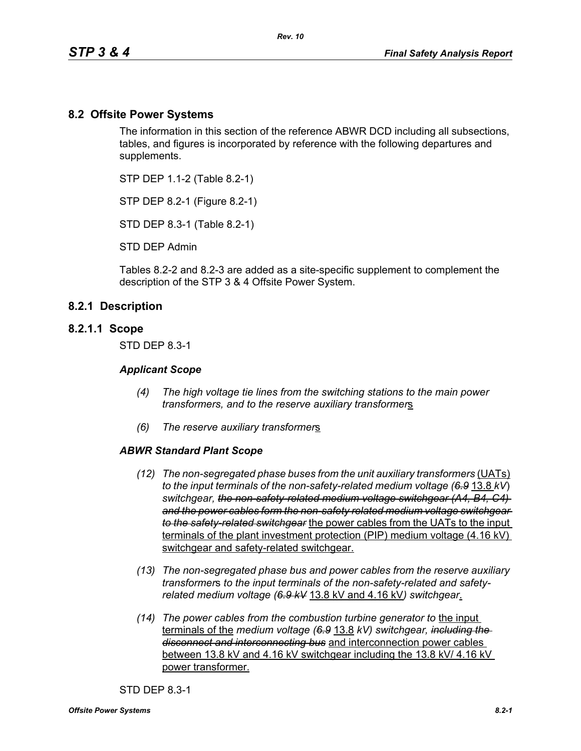### **8.2 Offsite Power Systems**

The information in this section of the reference ABWR DCD including all subsections, tables, and figures is incorporated by reference with the following departures and supplements.

STP DEP 1.1-2 (Table 8.2-1)

STP DEP 8.2-1 (Figure 8.2-1)

STD DEP 8.3-1 (Table 8.2-1)

STD DEP Admin

Tables 8.2-2 and 8.2-3 are added as a site-specific supplement to complement the description of the STP 3 & 4 Offsite Power System.

### **8.2.1 Description**

#### **8.2.1.1 Scope**

STD DEP 8.3-1

#### *Applicant Scope*

- *(4) The high voltage tie lines from the switching stations to the main power transformers, and to the reserve auxiliary transformer*s
- *(6) The reserve auxiliary transformer*s

#### *ABWR Standard Plant Scope*

- *(12)* The non-segregated phase buses from the unit auxiliary transformers *(UATs) to the input terminals of the non-safety-related medium voltage (6.9* 13.8 *kV*) *switchgear, the non-safety-related medium voltage switchgear (A4, B4, C4) and the power cables form the non-safety related medium voltage switchgear to the safety-related switchgear* the power cables from the UATs to the input terminals of the plant investment protection (PIP) medium voltage (4.16 kV) switchgear and safety-related switchgear.
- *(13) The non-segregated phase bus and power cables from the reserve auxiliary transformer*s *to the input terminals of the non-safety-related and safetyrelated medium voltage (6.9 kV* 13.8 kV and 4.16 kV*) switchgear*.
- *(14) The power cables from the combustion turbine generator to* the input terminals of the *medium voltage (6.9* 13.8 *kV) switchgear, including the disconnect and interconnecting bus* and interconnection power cables between 13.8 kV and 4.16 kV switchgear including the 13.8 kV/ 4.16 kV power transformer.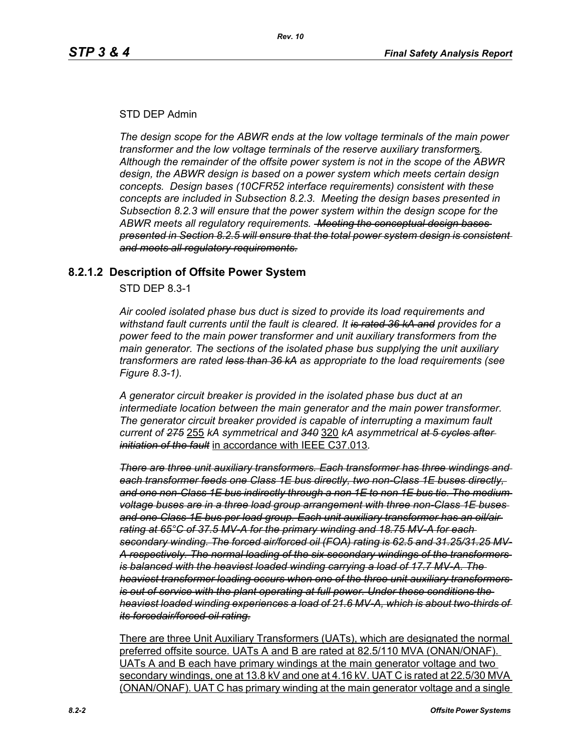### STD DEP Admin

*The design scope for the ABWR ends at the low voltage terminals of the main power transformer and the low voltage terminals of the reserve auxiliary transformer*s*. Although the remainder of the offsite power system is not in the scope of the ABWR design, the ABWR design is based on a power system which meets certain design concepts. Design bases (10CFR52 interface requirements) consistent with these concepts are included in Subsection 8.2.3. Meeting the design bases presented in Subsection 8.2.3 will ensure that the power system within the design scope for the ABWR meets all regulatory requirements. Meeting the conceptual design bases presented in Section 8.2.5 will ensure that the total power system design is consistent and meets all regulatory requirements.*

## **8.2.1.2 Description of Offsite Power System**

STD DEP 8.3-1

*Air cooled isolated phase bus duct is sized to provide its load requirements and withstand fault currents until the fault is cleared. It is rated 36 kA and provides for a power feed to the main power transformer and unit auxiliary transformers from the main generator. The sections of the isolated phase bus supplying the unit auxiliary transformers are rated less than 36 kA as appropriate to the load requirements (see Figure 8.3-1).* 

*A generator circuit breaker is provided in the isolated phase bus duct at an intermediate location between the main generator and the main power transformer. The generator circuit breaker provided is capable of interrupting a maximum fault current of 275* 255 *kA symmetrical and 340* 320 *kA asymmetrical at 5 cycles after initiation of the fault* in accordance with IEEE C37.013*.*

*There are three unit auxiliary transformers. Each transformer has three windings and each transformer feeds one Class 1E bus directly, two non-Class 1E buses directly, and one non-Class 1E bus indirectly through a non 1E to non 1E bus tie. The medium voltage buses are in a three load group arrangement with three non-Class 1E buses and one Class 1E bus per load group. Each unit auxiliary transformer has an oil/air rating at 65°C of 37.5 MV-A for the primary winding and 18.75 MV-A for each secondary winding. The forced air/forced oil (FOA) rating is 62.5 and 31.25/31.25 MV-A respectively. The normal loading of the six secondary windings of the transformers is balanced with the heaviest loaded winding carrying a load of 17.7 MV-A. The heaviest transformer loading occurs when one of the three unit auxiliary transformers is out of service with the plant operating at full power. Under these conditions the heaviest loaded winding experiences a load of 21.6 MV-A, which is about two-thirds of its forcedair/forced oil rating.*

There are three Unit Auxiliary Transformers (UATs), which are designated the normal preferred offsite source. UATs A and B are rated at 82.5/110 MVA (ONAN/ONAF). UATs A and B each have primary windings at the main generator voltage and two secondary windings, one at 13.8 kV and one at 4.16 kV. UAT C is rated at 22.5/30 MVA (ONAN/ONAF). UAT C has primary winding at the main generator voltage and a single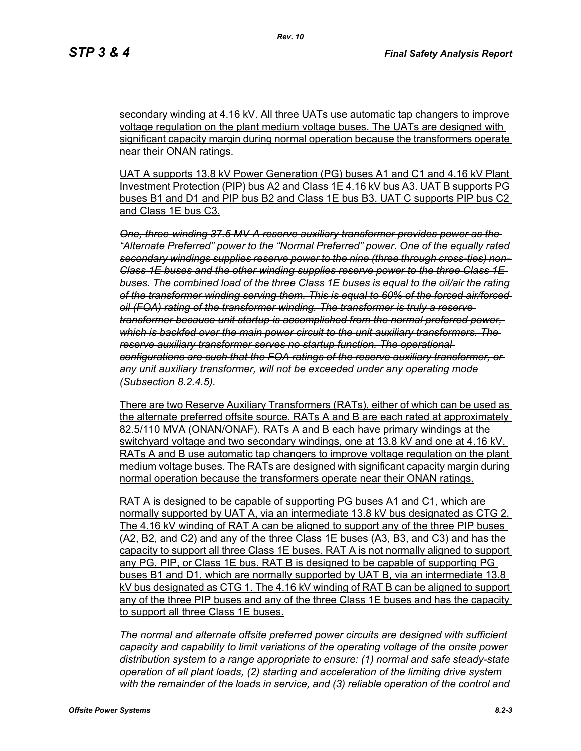secondary winding at 4.16 kV. All three UATs use automatic tap changers to improve voltage regulation on the plant medium voltage buses. The UATs are designed with significant capacity margin during normal operation because the transformers operate near their ONAN ratings.

UAT A supports 13.8 kV Power Generation (PG) buses A1 and C1 and 4.16 kV Plant Investment Protection (PIP) bus A2 and Class 1E 4.16 kV bus A3. UAT B supports PG buses B1 and D1 and PIP bus B2 and Class 1E bus B3. UAT C supports PIP bus C2 and Class 1E bus C3.

*One, three-winding 37.5 MV-A reserve auxiliary transformer provides power as the "Alternate Preferred" power to the "Normal Preferred" power. One of the equally rated secondary windings supplies reserve power to the nine (three through cross-ties) non-Class 1E buses and the other winding supplies reserve power to the three Class 1E buses. The combined load of the three Class 1E buses is equal to the oil/air the rating of the transformer winding serving them. This is equal to 60% of the forced air/forced oil (FOA) rating of the transformer winding. The transformer is truly a reserve transformer because unit startup is accomplished from the normal preferred power, which is backfed over the main power circuit to the unit auxiliary transformers. The reserve auxiliary transformer serves no startup function. The operational configurations are such that the FOA ratings of the reserve auxiliary transformer, or any unit auxiliary transformer, will not be exceeded under any operating mode (Subsection 8.2.4.5).*

There are two Reserve Auxiliary Transformers (RATs), either of which can be used as the alternate preferred offsite source. RATs A and B are each rated at approximately 82.5/110 MVA (ONAN/ONAF). RATs A and B each have primary windings at the switchyard voltage and two secondary windings, one at 13.8 kV and one at 4.16 kV. RATs A and B use automatic tap changers to improve voltage regulation on the plant medium voltage buses. The RATs are designed with significant capacity margin during normal operation because the transformers operate near their ONAN ratings.

RAT A is designed to be capable of supporting PG buses A1 and C1, which are normally supported by UAT A, via an intermediate 13.8 kV bus designated as CTG 2. The 4.16 kV winding of RAT A can be aligned to support any of the three PIP buses (A2, B2, and C2) and any of the three Class 1E buses (A3, B3, and C3) and has the capacity to support all three Class 1E buses. RAT A is not normally aligned to support any PG, PIP, or Class 1E bus. RAT B is designed to be capable of supporting PG buses B1 and D1, which are normally supported by UAT B, via an intermediate 13.8 kV bus designated as CTG 1. The 4.16 kV winding of RAT B can be aligned to support any of the three PIP buses and any of the three Class 1E buses and has the capacity to support all three Class 1E buses.

*The normal and alternate offsite preferred power circuits are designed with sufficient capacity and capability to limit variations of the operating voltage of the onsite power distribution system to a range appropriate to ensure: (1) normal and safe steady-state operation of all plant loads, (2) starting and acceleration of the limiting drive system with the remainder of the loads in service, and (3) reliable operation of the control and*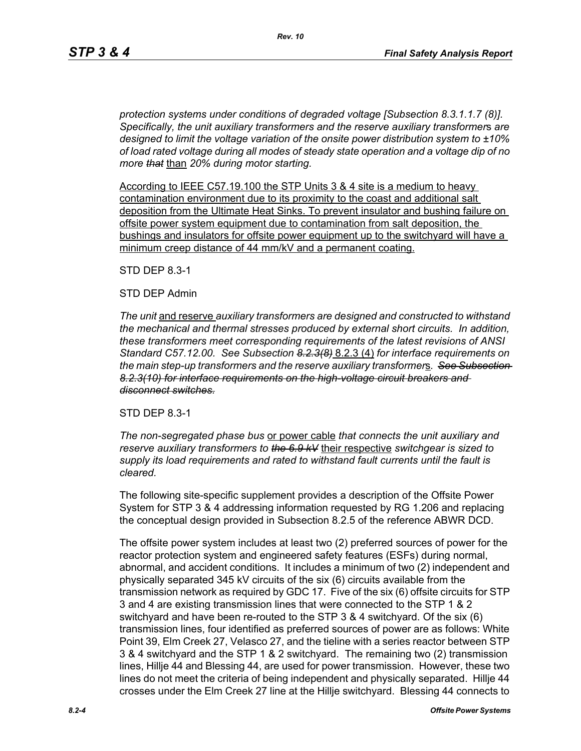*protection systems under conditions of degraded voltage [Subsection 8.3.1.1.7 (8)]. Specifically, the unit auxiliary transformers and the reserve auxiliary transformer*s *are designed to limit the voltage variation of the onsite power distribution system to ±10% of load rated voltage during all modes of steady state operation and a voltage dip of no more that* than *20% during motor starting.*

According to IEEE C57.19.100 the STP Units 3 & 4 site is a medium to heavy contamination environment due to its proximity to the coast and additional salt deposition from the Ultimate Heat Sinks. To prevent insulator and bushing failure on offsite power system equipment due to contamination from salt deposition, the bushings and insulators for offsite power equipment up to the switchyard will have a minimum creep distance of 44 mm/kV and a permanent coating.

STD DEP 8.3-1

### STD DEP Admin

*The unit* and reserve *auxiliary transformers are designed and constructed to withstand the mechanical and thermal stresses produced by external short circuits. In addition, these transformers meet corresponding requirements of the latest revisions of ANSI Standard C57.12.00. See Subsection 8.2.3(8)* 8.2.3 (4) *for interface requirements on the main step-up transformers and the reserve auxiliary transformer*s*. See Subsection 8.2.3(10) for interface requirements on the high-voltage circuit breakers and disconnect switches.*

### STD DEP 8.3-1

*The non-segregated phase bus* or power cable *that connects the unit auxiliary and reserve auxiliary transformers to the 6.9 kV* their respective *switchgear is sized to supply its load requirements and rated to withstand fault currents until the fault is cleared.*

The following site-specific supplement provides a description of the Offsite Power System for STP 3 & 4 addressing information requested by RG 1.206 and replacing the conceptual design provided in Subsection 8.2.5 of the reference ABWR DCD.

The offsite power system includes at least two (2) preferred sources of power for the reactor protection system and engineered safety features (ESFs) during normal, abnormal, and accident conditions. It includes a minimum of two (2) independent and physically separated 345 kV circuits of the six (6) circuits available from the transmission network as required by GDC 17. Five of the six (6) offsite circuits for STP 3 and 4 are existing transmission lines that were connected to the STP 1 & 2 switchyard and have been re-routed to the STP 3 & 4 switchyard. Of the six (6) transmission lines, four identified as preferred sources of power are as follows: White Point 39, Elm Creek 27, Velasco 27, and the tieline with a series reactor between STP 3 & 4 switchyard and the STP 1 & 2 switchyard. The remaining two (2) transmission lines, Hillje 44 and Blessing 44, are used for power transmission. However, these two lines do not meet the criteria of being independent and physically separated. Hillje 44 crosses under the Elm Creek 27 line at the Hillje switchyard. Blessing 44 connects to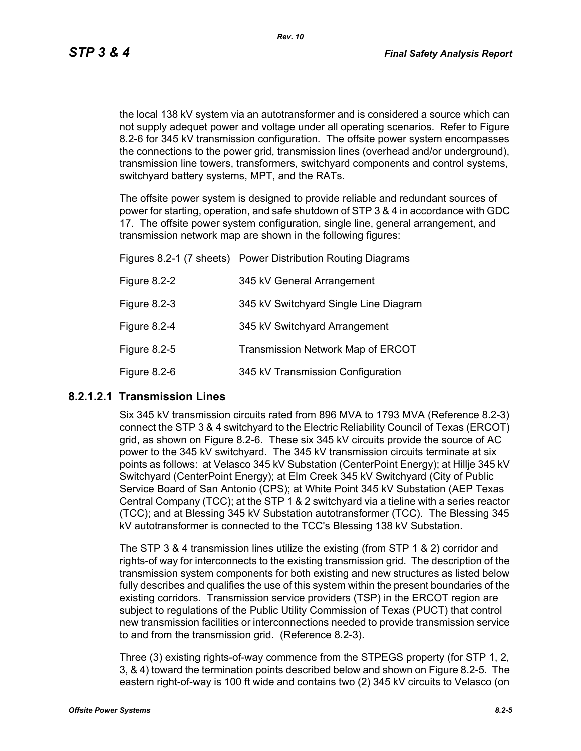the local 138 kV system via an autotransformer and is considered a source which can not supply adequet power and voltage under all operating scenarios. Refer to Figure 8.2-6 for 345 kV transmission configuration. The offsite power system encompasses the connections to the power grid, transmission lines (overhead and/or underground), transmission line towers, transformers, switchyard components and control systems, switchyard battery systems, MPT, and the RATs.

The offsite power system is designed to provide reliable and redundant sources of power for starting, operation, and safe shutdown of STP 3 & 4 in accordance with GDC 17. The offsite power system configuration, single line, general arrangement, and transmission network map are shown in the following figures:

|              | Figures 8.2-1 (7 sheets) Power Distribution Routing Diagrams |
|--------------|--------------------------------------------------------------|
| Figure 8.2-2 | 345 kV General Arrangement                                   |
| Figure 8.2-3 | 345 kV Switchyard Single Line Diagram                        |
| Figure 8.2-4 | 345 kV Switchyard Arrangement                                |
| Figure 8.2-5 | <b>Transmission Network Map of ERCOT</b>                     |
| Figure 8.2-6 | 345 kV Transmission Configuration                            |

### **8.2.1.2.1 Transmission Lines**

Six 345 kV transmission circuits rated from 896 MVA to 1793 MVA (Reference 8.2-3) connect the STP 3 & 4 switchyard to the Electric Reliability Council of Texas (ERCOT) grid, as shown on Figure 8.2-6. These six 345 kV circuits provide the source of AC power to the 345 kV switchyard. The 345 kV transmission circuits terminate at six points as follows: at Velasco 345 kV Substation (CenterPoint Energy); at Hillje 345 kV Switchyard (CenterPoint Energy); at Elm Creek 345 kV Switchyard (City of Public Service Board of San Antonio (CPS); at White Point 345 kV Substation (AEP Texas Central Company (TCC); at the STP 1 & 2 switchyard via a tieline with a series reactor (TCC); and at Blessing 345 kV Substation autotransformer (TCC). The Blessing 345 kV autotransformer is connected to the TCC's Blessing 138 kV Substation.

The STP 3 & 4 transmission lines utilize the existing (from STP 1 & 2) corridor and rights-of way for interconnects to the existing transmission grid. The description of the transmission system components for both existing and new structures as listed below fully describes and qualifies the use of this system within the present boundaries of the existing corridors. Transmission service providers (TSP) in the ERCOT region are subject to regulations of the Public Utility Commission of Texas (PUCT) that control new transmission facilities or interconnections needed to provide transmission service to and from the transmission grid. (Reference 8.2-3).

Three (3) existing rights-of-way commence from the STPEGS property (for STP 1, 2, 3, & 4) toward the termination points described below and shown on Figure 8.2-5. The eastern right-of-way is 100 ft wide and contains two (2) 345 kV circuits to Velasco (on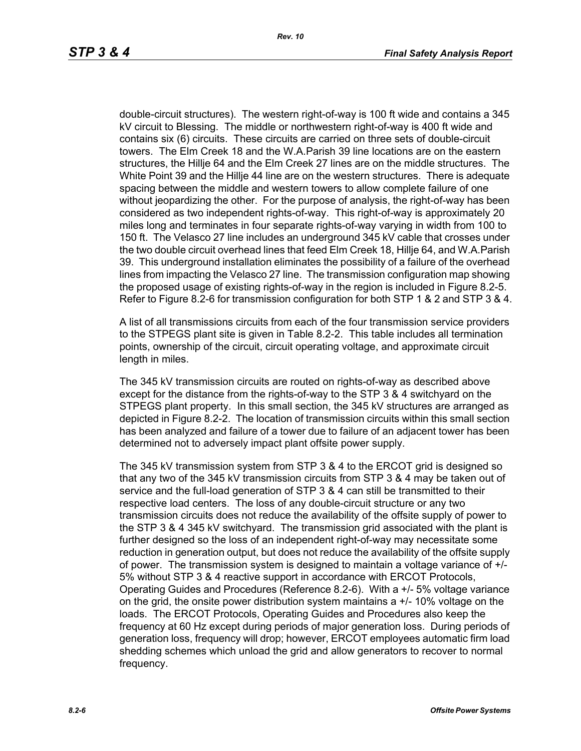double-circuit structures). The western right-of-way is 100 ft wide and contains a 345 kV circuit to Blessing. The middle or northwestern right-of-way is 400 ft wide and contains six (6) circuits. These circuits are carried on three sets of double-circuit towers. The Elm Creek 18 and the W.A.Parish 39 line locations are on the eastern structures, the Hillje 64 and the Elm Creek 27 lines are on the middle structures. The White Point 39 and the Hillje 44 line are on the western structures. There is adequate spacing between the middle and western towers to allow complete failure of one without jeopardizing the other. For the purpose of analysis, the right-of-way has been considered as two independent rights-of-way. This right-of-way is approximately 20 miles long and terminates in four separate rights-of-way varying in width from 100 to 150 ft. The Velasco 27 line includes an underground 345 kV cable that crosses under the two double circuit overhead lines that feed Elm Creek 18, Hillje 64, and W.A.Parish 39. This underground installation eliminates the possibility of a failure of the overhead lines from impacting the Velasco 27 line. The transmission configuration map showing the proposed usage of existing rights-of-way in the region is included in Figure 8.2-5. Refer to Figure 8.2-6 for transmission configuration for both STP 1 & 2 and STP 3 & 4.

A list of all transmissions circuits from each of the four transmission service providers to the STPEGS plant site is given in Table 8.2-2. This table includes all termination points, ownership of the circuit, circuit operating voltage, and approximate circuit length in miles.

The 345 kV transmission circuits are routed on rights-of-way as described above except for the distance from the rights-of-way to the STP 3 & 4 switchyard on the STPEGS plant property. In this small section, the 345 kV structures are arranged as depicted in Figure 8.2-2. The location of transmission circuits within this small section has been analyzed and failure of a tower due to failure of an adjacent tower has been determined not to adversely impact plant offsite power supply.

The 345 kV transmission system from STP 3 & 4 to the ERCOT grid is designed so that any two of the 345 kV transmission circuits from STP 3 & 4 may be taken out of service and the full-load generation of STP 3 & 4 can still be transmitted to their respective load centers. The loss of any double-circuit structure or any two transmission circuits does not reduce the availability of the offsite supply of power to the STP 3 & 4 345 kV switchyard. The transmission grid associated with the plant is further designed so the loss of an independent right-of-way may necessitate some reduction in generation output, but does not reduce the availability of the offsite supply of power. The transmission system is designed to maintain a voltage variance of +/- 5% without STP 3 & 4 reactive support in accordance with ERCOT Protocols, Operating Guides and Procedures (Reference 8.2-6). With a +/- 5% voltage variance on the grid, the onsite power distribution system maintains a +/- 10% voltage on the loads. The ERCOT Protocols, Operating Guides and Procedures also keep the frequency at 60 Hz except during periods of major generation loss. During periods of generation loss, frequency will drop; however, ERCOT employees automatic firm load shedding schemes which unload the grid and allow generators to recover to normal frequency.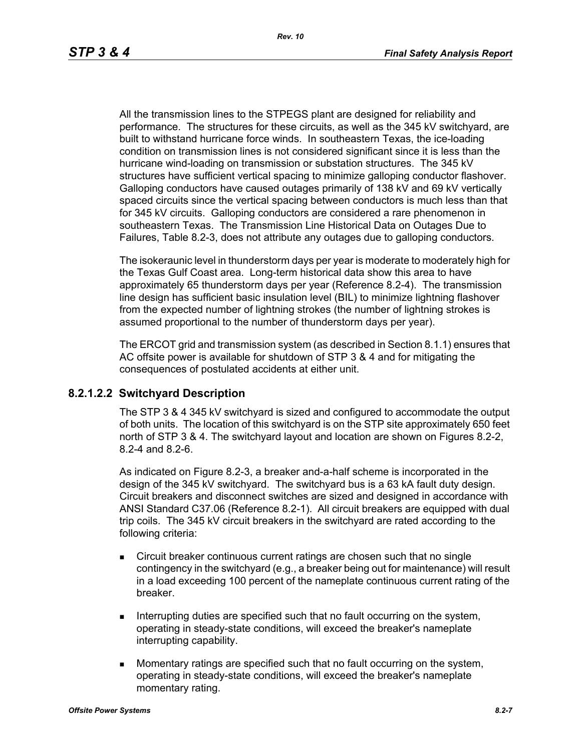All the transmission lines to the STPEGS plant are designed for reliability and performance. The structures for these circuits, as well as the 345 kV switchyard, are built to withstand hurricane force winds. In southeastern Texas, the ice-loading condition on transmission lines is not considered significant since it is less than the hurricane wind-loading on transmission or substation structures. The 345 kV structures have sufficient vertical spacing to minimize galloping conductor flashover. Galloping conductors have caused outages primarily of 138 kV and 69 kV vertically spaced circuits since the vertical spacing between conductors is much less than that for 345 kV circuits. Galloping conductors are considered a rare phenomenon in southeastern Texas. The Transmission Line Historical Data on Outages Due to Failures, Table 8.2-3, does not attribute any outages due to galloping conductors.

The isokeraunic level in thunderstorm days per year is moderate to moderately high for the Texas Gulf Coast area. Long-term historical data show this area to have approximately 65 thunderstorm days per year (Reference 8.2-4). The transmission line design has sufficient basic insulation level (BIL) to minimize lightning flashover from the expected number of lightning strokes (the number of lightning strokes is assumed proportional to the number of thunderstorm days per year).

The ERCOT grid and transmission system (as described in Section 8.1.1) ensures that AC offsite power is available for shutdown of STP 3 & 4 and for mitigating the consequences of postulated accidents at either unit.

### **8.2.1.2.2 Switchyard Description**

The STP 3 & 4 345 kV switchyard is sized and configured to accommodate the output of both units. The location of this switchyard is on the STP site approximately 650 feet north of STP 3 & 4. The switchyard layout and location are shown on Figures 8.2-2, 8.2-4 and 8.2-6.

As indicated on Figure 8.2-3, a breaker and-a-half scheme is incorporated in the design of the 345 kV switchyard. The switchyard bus is a 63 kA fault duty design. Circuit breakers and disconnect switches are sized and designed in accordance with ANSI Standard C37.06 (Reference 8.2-1). All circuit breakers are equipped with dual trip coils. The 345 kV circuit breakers in the switchyard are rated according to the following criteria:

- Circuit breaker continuous current ratings are chosen such that no single contingency in the switchyard (e.g., a breaker being out for maintenance) will result in a load exceeding 100 percent of the nameplate continuous current rating of the breaker.
- Interrupting duties are specified such that no fault occurring on the system, operating in steady-state conditions, will exceed the breaker's nameplate interrupting capability.
- **Momentary ratings are specified such that no fault occurring on the system,** operating in steady-state conditions, will exceed the breaker's nameplate momentary rating.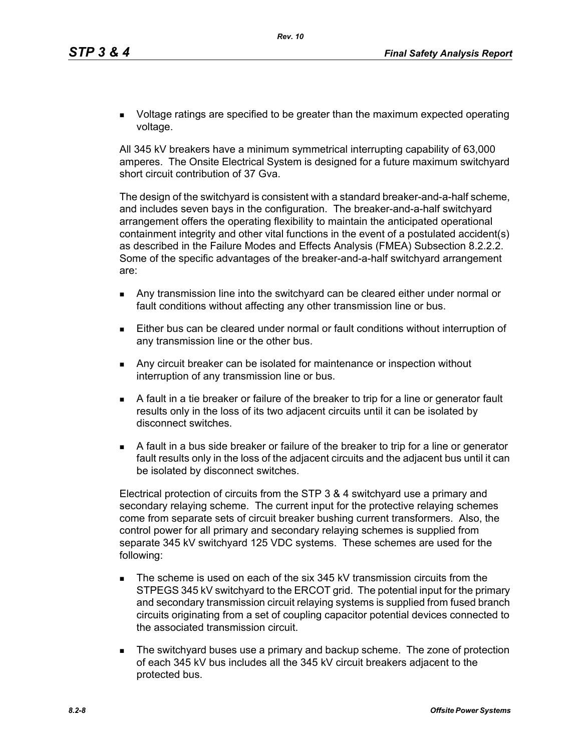**DED** Voltage ratings are specified to be greater than the maximum expected operating voltage.

All 345 kV breakers have a minimum symmetrical interrupting capability of 63,000 amperes. The Onsite Electrical System is designed for a future maximum switchyard short circuit contribution of 37 Gva.

The design of the switchyard is consistent with a standard breaker-and-a-half scheme, and includes seven bays in the configuration. The breaker-and-a-half switchyard arrangement offers the operating flexibility to maintain the anticipated operational containment integrity and other vital functions in the event of a postulated accident(s) as described in the Failure Modes and Effects Analysis (FMEA) Subsection 8.2.2.2. Some of the specific advantages of the breaker-and-a-half switchyard arrangement are:

- Any transmission line into the switchyard can be cleared either under normal or fault conditions without affecting any other transmission line or bus.
- Either bus can be cleared under normal or fault conditions without interruption of any transmission line or the other bus.
- **Any circuit breaker can be isolated for maintenance or inspection without** interruption of any transmission line or bus.
- A fault in a tie breaker or failure of the breaker to trip for a line or generator fault results only in the loss of its two adjacent circuits until it can be isolated by disconnect switches.
- A fault in a bus side breaker or failure of the breaker to trip for a line or generator fault results only in the loss of the adjacent circuits and the adjacent bus until it can be isolated by disconnect switches.

Electrical protection of circuits from the STP 3 & 4 switchyard use a primary and secondary relaying scheme. The current input for the protective relaying schemes come from separate sets of circuit breaker bushing current transformers. Also, the control power for all primary and secondary relaying schemes is supplied from separate 345 kV switchyard 125 VDC systems. These schemes are used for the following:

- The scheme is used on each of the six 345 kV transmission circuits from the STPEGS 345 kV switchyard to the ERCOT grid. The potential input for the primary and secondary transmission circuit relaying systems is supplied from fused branch circuits originating from a set of coupling capacitor potential devices connected to the associated transmission circuit.
- **The switchyard buses use a primary and backup scheme. The zone of protection** of each 345 kV bus includes all the 345 kV circuit breakers adjacent to the protected bus.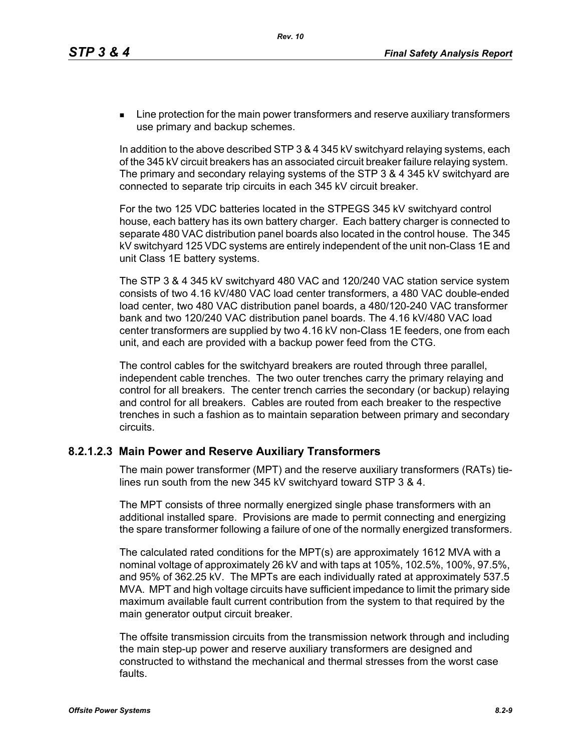**EXECT** Line protection for the main power transformers and reserve auxiliary transformers use primary and backup schemes.

In addition to the above described STP 3 & 4 345 kV switchyard relaying systems, each of the 345 kV circuit breakers has an associated circuit breaker failure relaying system. The primary and secondary relaying systems of the STP 3 & 4 345 kV switchyard are connected to separate trip circuits in each 345 kV circuit breaker.

For the two 125 VDC batteries located in the STPEGS 345 kV switchyard control house, each battery has its own battery charger. Each battery charger is connected to separate 480 VAC distribution panel boards also located in the control house. The 345 kV switchyard 125 VDC systems are entirely independent of the unit non-Class 1E and unit Class 1E battery systems.

The STP 3 & 4 345 kV switchyard 480 VAC and 120/240 VAC station service system consists of two 4.16 kV/480 VAC load center transformers, a 480 VAC double-ended load center, two 480 VAC distribution panel boards, a 480/120-240 VAC transformer bank and two 120/240 VAC distribution panel boards. The 4.16 kV/480 VAC load center transformers are supplied by two 4.16 kV non-Class 1E feeders, one from each unit, and each are provided with a backup power feed from the CTG.

The control cables for the switchyard breakers are routed through three parallel, independent cable trenches. The two outer trenches carry the primary relaying and control for all breakers. The center trench carries the secondary (or backup) relaying and control for all breakers. Cables are routed from each breaker to the respective trenches in such a fashion as to maintain separation between primary and secondary circuits.

## **8.2.1.2.3 Main Power and Reserve Auxiliary Transformers**

The main power transformer (MPT) and the reserve auxiliary transformers (RATs) tielines run south from the new 345 kV switchyard toward STP 3 & 4.

The MPT consists of three normally energized single phase transformers with an additional installed spare. Provisions are made to permit connecting and energizing the spare transformer following a failure of one of the normally energized transformers.

The calculated rated conditions for the MPT(s) are approximately 1612 MVA with a nominal voltage of approximately 26 kV and with taps at 105%, 102.5%, 100%, 97.5%, and 95% of 362.25 kV. The MPTs are each individually rated at approximately 537.5 MVA. MPT and high voltage circuits have sufficient impedance to limit the primary side maximum available fault current contribution from the system to that required by the main generator output circuit breaker.

The offsite transmission circuits from the transmission network through and including the main step-up power and reserve auxiliary transformers are designed and constructed to withstand the mechanical and thermal stresses from the worst case faults.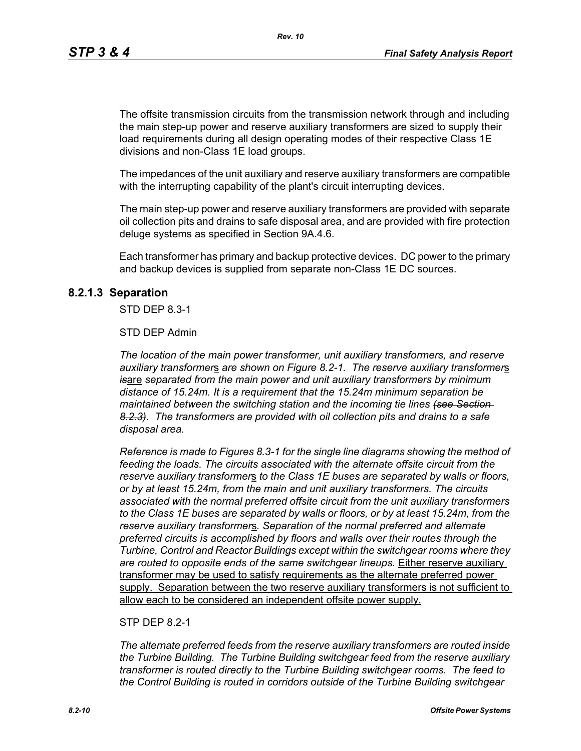The offsite transmission circuits from the transmission network through and including the main step-up power and reserve auxiliary transformers are sized to supply their load requirements during all design operating modes of their respective Class 1E divisions and non-Class 1E load groups.

The impedances of the unit auxiliary and reserve auxiliary transformers are compatible with the interrupting capability of the plant's circuit interrupting devices.

The main step-up power and reserve auxiliary transformers are provided with separate oil collection pits and drains to safe disposal area, and are provided with fire protection deluge systems as specified in Section 9A.4.6.

Each transformer has primary and backup protective devices. DC power to the primary and backup devices is supplied from separate non-Class 1E DC sources.

#### **8.2.1.3 Separation**

STD DEP 8.3-1

#### STD DEP Admin

*The location of the main power transformer, unit auxiliary transformers, and reserve auxiliary transformer*s *are shown on Figure 8.2-1. The reserve auxiliary transformer*s *is*are *separated from the main power and unit auxiliary transformers by minimum distance of 15.24m. It is a requirement that the 15.24m minimum separation be maintained between the switching station and the incoming tie lines (see Section 8.2.3). The transformers are provided with oil collection pits and drains to a safe disposal area.*

*Reference is made to Figures 8.3-1 for the single line diagrams showing the method of feeding the loads. The circuits associated with the alternate offsite circuit from the reserve auxiliary transformer*s *to the Class 1E buses are separated by walls or floors, or by at least 15.24m, from the main and unit auxiliary transformers. The circuits associated with the normal preferred offsite circuit from the unit auxiliary transformers to the Class 1E buses are separated by walls or floors, or by at least 15.24m, from the reserve auxiliary transformer*s*. Separation of the normal preferred and alternate preferred circuits is accomplished by floors and walls over their routes through the Turbine, Control and Reactor Buildings except within the switchgear rooms where they are routed to opposite ends of the same switchgear lineups.* Either reserve auxiliary transformer may be used to satisfy requirements as the alternate preferred power supply. Separation between the two reserve auxiliary transformers is not sufficient to allow each to be considered an independent offsite power supply.

#### STP DFP 8 2-1

*The alternate preferred feeds from the reserve auxiliary transformers are routed inside the Turbine Building. The Turbine Building switchgear feed from the reserve auxiliary transformer is routed directly to the Turbine Building switchgear rooms. The feed to the Control Building is routed in corridors outside of the Turbine Building switchgear*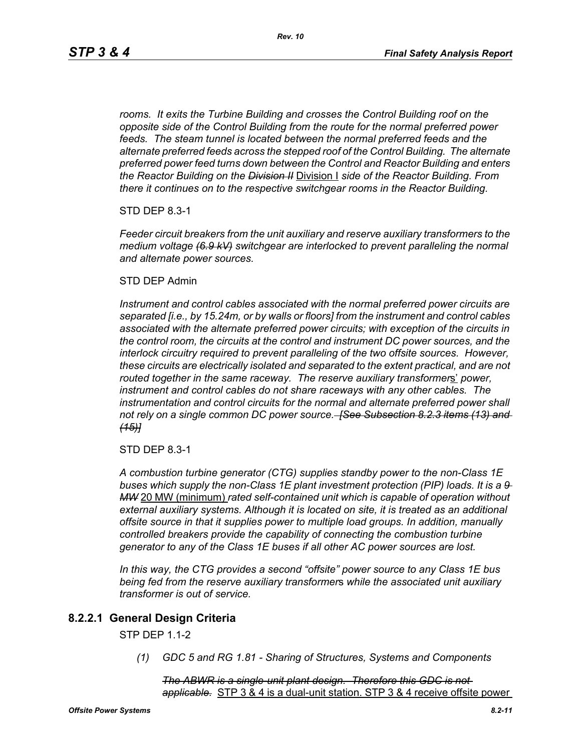*rooms. It exits the Turbine Building and crosses the Control Building roof on the opposite side of the Control Building from the route for the normal preferred power feeds. The steam tunnel is located between the normal preferred feeds and the alternate preferred feeds across the stepped roof of the Control Building. The alternate preferred power feed turns down between the Control and Reactor Building and enters the Reactor Building on the Division II* Division I *side of the Reactor Building. From there it continues on to the respective switchgear rooms in the Reactor Building.*

STD DEP 8.3-1

*Feeder circuit breakers from the unit auxiliary and reserve auxiliary transformers to the medium voltage (6.9 kV) switchgear are interlocked to prevent paralleling the normal and alternate power sources.*

#### STD DEP Admin

*Instrument and control cables associated with the normal preferred power circuits are separated [i.e., by 15.24m, or by walls or floors] from the instrument and control cables associated with the alternate preferred power circuits; with exception of the circuits in the control room, the circuits at the control and instrument DC power sources, and the interlock circuitry required to prevent paralleling of the two offsite sources. However, these circuits are electrically isolated and separated to the extent practical, and are not routed together in the same raceway. The reserve auxiliary transformer*s' *power, instrument and control cables do not share raceways with any other cables. The*  instrumentation and control circuits for the normal and alternate preferred power shall *not rely on a single common DC power source. [See Subsection 8.2.3 items (13) and (15)]*

STD DEP 8.3-1

*A combustion turbine generator (CTG) supplies standby power to the non-Class 1E buses which supply the non-Class 1E plant investment protection (PIP) loads. It is a 9 MW* 20 MW (minimum) *rated self-contained unit which is capable of operation without external auxiliary systems. Although it is located on site, it is treated as an additional offsite source in that it supplies power to multiple load groups. In addition, manually controlled breakers provide the capability of connecting the combustion turbine generator to any of the Class 1E buses if all other AC power sources are lost.*

*In this way, the CTG provides a second "offsite" power source to any Class 1E bus being fed from the reserve auxiliary transformer*s *while the associated unit auxiliary transformer is out of service.*

### **8.2.2.1 General Design Criteria**

STP DEP 1.1-2

*(1) GDC 5 and RG 1.81 - Sharing of Structures, Systems and Components*

*The ABWR is a single-unit plant design. Therefore this GDC is not applicable.* STP 3 & 4 is a dual-unit station. STP 3 & 4 receive offsite power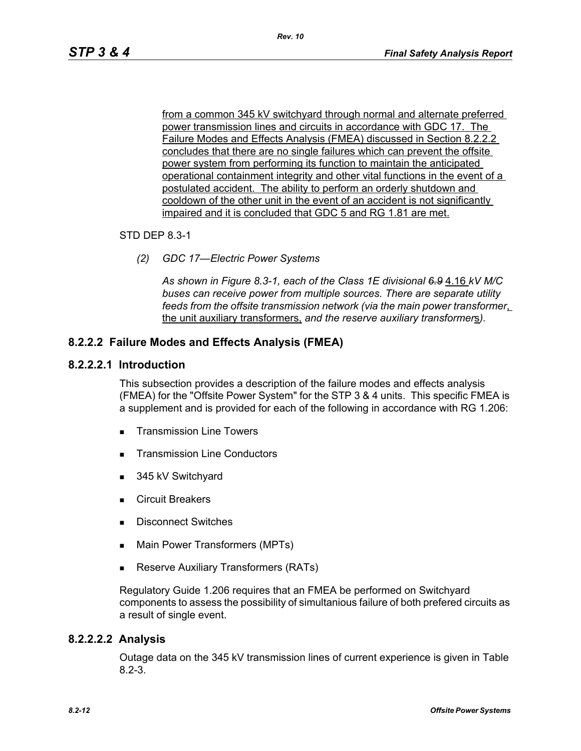from a common 345 kV switchyard through normal and alternate preferred power transmission lines and circuits in accordance with GDC 17. The Failure Modes and Effects Analysis (FMEA) discussed in Section 8.2.2.2 concludes that there are no single failures which can prevent the offsite power system from performing its function to maintain the anticipated operational containment integrity and other vital functions in the event of a postulated accident. The ability to perform an orderly shutdown and cooldown of the other unit in the event of an accident is not significantly impaired and it is concluded that GDC 5 and RG 1.81 are met.

#### STD DEP 8.3-1

*(2) GDC 17—Electric Power Systems*

*As shown in Figure 8.3-1, each of the Class 1E divisional 6.9* 4.16 *kV M/C buses can receive power from multiple sources. There are separate utility feeds from the offsite transmission network (via the main power transformer*, the unit auxiliary transformers, *and the reserve auxiliary transformer*s*).*

### **8.2.2.2 Failure Modes and Effects Analysis (FMEA)**

#### **8.2.2.2.1 Introduction**

This subsection provides a description of the failure modes and effects analysis (FMEA) for the "Offsite Power System" for the STP 3 & 4 units. This specific FMEA is a supplement and is provided for each of the following in accordance with RG 1.206:

- **Transmission Line Towers**
- Transmission Line Conductors
- 345 kV Switchyard
- **Exercuit Breakers**
- **Disconnect Switches**
- **Main Power Transformers (MPTs)**
- **Reserve Auxiliary Transformers (RATs)**

Regulatory Guide 1.206 requires that an FMEA be performed on Switchyard components to assess the possibility of simultanious failure of both prefered circuits as a result of single event.

### **8.2.2.2.2 Analysis**

Outage data on the 345 kV transmission lines of current experience is given in Table 8.2-3.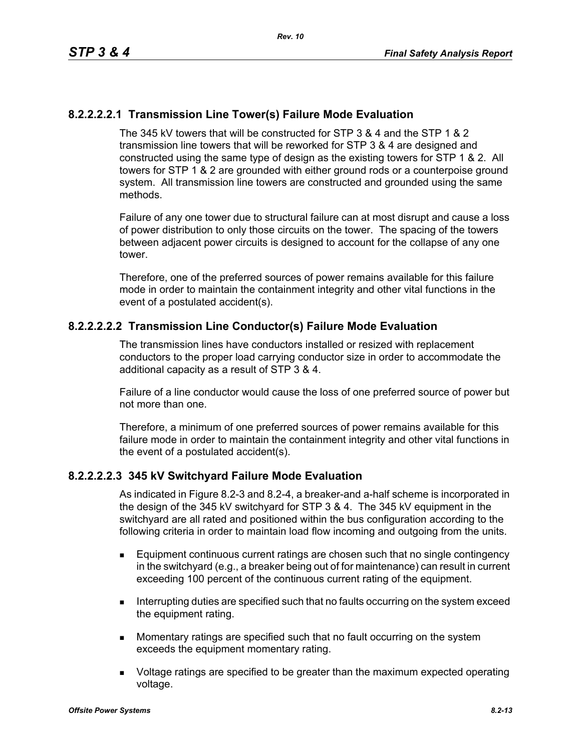## **8.2.2.2.2.1 Transmission Line Tower(s) Failure Mode Evaluation**

The 345 kV towers that will be constructed for STP 3 & 4 and the STP 1 & 2 transmission line towers that will be reworked for STP 3 & 4 are designed and constructed using the same type of design as the existing towers for STP 1 & 2. All towers for STP 1 & 2 are grounded with either ground rods or a counterpoise ground system. All transmission line towers are constructed and grounded using the same methods.

Failure of any one tower due to structural failure can at most disrupt and cause a loss of power distribution to only those circuits on the tower. The spacing of the towers between adjacent power circuits is designed to account for the collapse of any one tower.

Therefore, one of the preferred sources of power remains available for this failure mode in order to maintain the containment integrity and other vital functions in the event of a postulated accident(s).

## **8.2.2.2.2.2 Transmission Line Conductor(s) Failure Mode Evaluation**

The transmission lines have conductors installed or resized with replacement conductors to the proper load carrying conductor size in order to accommodate the additional capacity as a result of STP 3 & 4.

Failure of a line conductor would cause the loss of one preferred source of power but not more than one.

Therefore, a minimum of one preferred sources of power remains available for this failure mode in order to maintain the containment integrity and other vital functions in the event of a postulated accident(s).

### **8.2.2.2.2.3 345 kV Switchyard Failure Mode Evaluation**

As indicated in Figure 8.2-3 and 8.2-4, a breaker-and a-half scheme is incorporated in the design of the 345 kV switchyard for STP 3 & 4. The 345 kV equipment in the switchyard are all rated and positioned within the bus configuration according to the following criteria in order to maintain load flow incoming and outgoing from the units.

- Equipment continuous current ratings are chosen such that no single contingency in the switchyard (e.g., a breaker being out of for maintenance) can result in current exceeding 100 percent of the continuous current rating of the equipment.
- **Interrupting duties are specified such that no faults occurring on the system exceed** the equipment rating.
- **Momentary ratings are specified such that no fault occurring on the system** exceeds the equipment momentary rating.
- **DED** Voltage ratings are specified to be greater than the maximum expected operating voltage.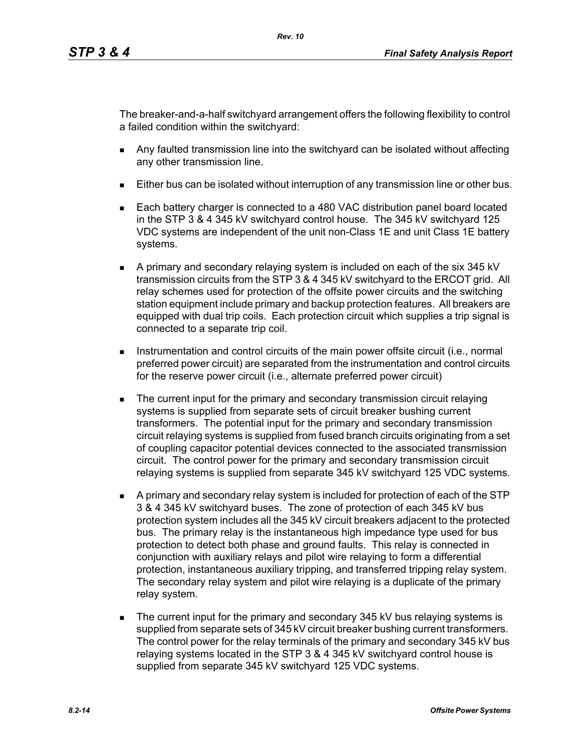The breaker-and-a-half switchyard arrangement offers the following flexibility to control a failed condition within the switchyard:

- Any faulted transmission line into the switchyard can be isolated without affecting any other transmission line.
- Either bus can be isolated without interruption of any transmission line or other bus.
- Each battery charger is connected to a 480 VAC distribution panel board located in the STP 3 & 4 345 kV switchyard control house. The 345 kV switchyard 125 VDC systems are independent of the unit non-Class 1E and unit Class 1E battery systems.
- A primary and secondary relaying system is included on each of the six 345 kV transmission circuits from the STP 3 & 4 345 kV switchyard to the ERCOT grid. All relay schemes used for protection of the offsite power circuits and the switching station equipment include primary and backup protection features. All breakers are equipped with dual trip coils. Each protection circuit which supplies a trip signal is connected to a separate trip coil.
- **Instrumentation and control circuits of the main power offsite circuit (i.e., normal** preferred power circuit) are separated from the instrumentation and control circuits for the reserve power circuit (i.e., alternate preferred power circuit)
- **The current input for the primary and secondary transmission circuit relaying** systems is supplied from separate sets of circuit breaker bushing current transformers. The potential input for the primary and secondary transmission circuit relaying systems is supplied from fused branch circuits originating from a set of coupling capacitor potential devices connected to the associated transmission circuit. The control power for the primary and secondary transmission circuit relaying systems is supplied from separate 345 kV switchyard 125 VDC systems.
- A primary and secondary relay system is included for protection of each of the STP 3 & 4 345 kV switchyard buses. The zone of protection of each 345 kV bus protection system includes all the 345 kV circuit breakers adjacent to the protected bus. The primary relay is the instantaneous high impedance type used for bus protection to detect both phase and ground faults. This relay is connected in conjunction with auxiliary relays and pilot wire relaying to form a differential protection, instantaneous auxiliary tripping, and transferred tripping relay system. The secondary relay system and pilot wire relaying is a duplicate of the primary relay system.
- The current input for the primary and secondary 345 kV bus relaying systems is supplied from separate sets of 345 kV circuit breaker bushing current transformers. The control power for the relay terminals of the primary and secondary 345 kV bus relaying systems located in the STP 3 & 4 345 kV switchyard control house is supplied from separate 345 kV switchyard 125 VDC systems.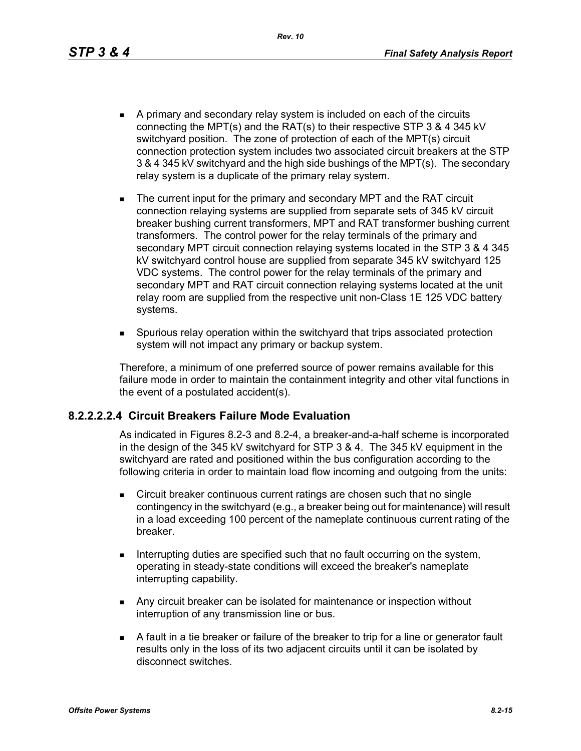*Rev. 10*

- A primary and secondary relay system is included on each of the circuits connecting the MPT(s) and the RAT(s) to their respective STP 3 & 4 345 kV switchyard position. The zone of protection of each of the MPT(s) circuit connection protection system includes two associated circuit breakers at the STP 3 & 4 345 kV switchyard and the high side bushings of the MPT(s). The secondary relay system is a duplicate of the primary relay system.
- The current input for the primary and secondary MPT and the RAT circuit connection relaying systems are supplied from separate sets of 345 kV circuit breaker bushing current transformers, MPT and RAT transformer bushing current transformers. The control power for the relay terminals of the primary and secondary MPT circuit connection relaying systems located in the STP 3 & 4 345 kV switchyard control house are supplied from separate 345 kV switchyard 125 VDC systems. The control power for the relay terminals of the primary and secondary MPT and RAT circuit connection relaying systems located at the unit relay room are supplied from the respective unit non-Class 1E 125 VDC battery systems.
- Spurious relay operation within the switchyard that trips associated protection system will not impact any primary or backup system.

Therefore, a minimum of one preferred source of power remains available for this failure mode in order to maintain the containment integrity and other vital functions in the event of a postulated accident(s).

### **8.2.2.2.2.4 Circuit Breakers Failure Mode Evaluation**

As indicated in Figures 8.2-3 and 8.2-4, a breaker-and-a-half scheme is incorporated in the design of the 345 kV switchyard for STP 3 & 4. The 345 kV equipment in the switchyard are rated and positioned within the bus configuration according to the following criteria in order to maintain load flow incoming and outgoing from the units:

- **EXECT** Circuit breaker continuous current ratings are chosen such that no single contingency in the switchyard (e.g., a breaker being out for maintenance) will result in a load exceeding 100 percent of the nameplate continuous current rating of the breaker.
- Interrupting duties are specified such that no fault occurring on the system, operating in steady-state conditions will exceed the breaker's nameplate interrupting capability.
- **Any circuit breaker can be isolated for maintenance or inspection without** interruption of any transmission line or bus.
- A fault in a tie breaker or failure of the breaker to trip for a line or generator fault results only in the loss of its two adjacent circuits until it can be isolated by disconnect switches.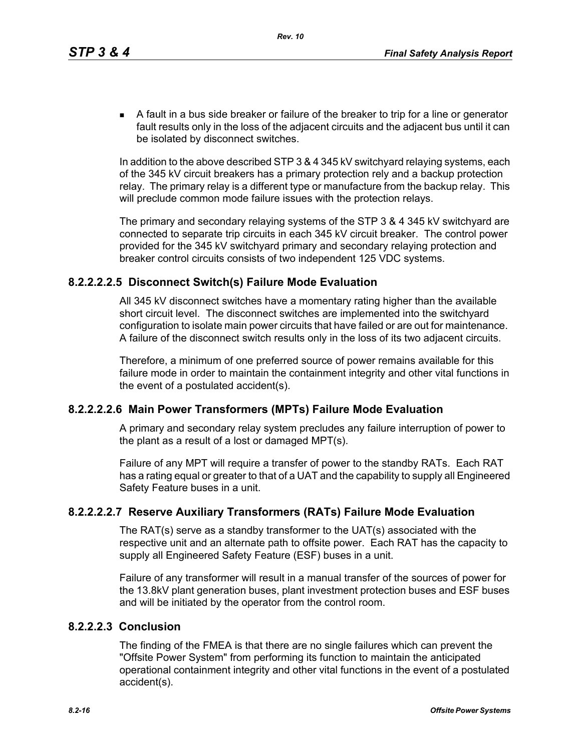A fault in a bus side breaker or failure of the breaker to trip for a line or generator fault results only in the loss of the adjacent circuits and the adjacent bus until it can be isolated by disconnect switches.

In addition to the above described STP 3 & 4 345 kV switchyard relaying systems, each of the 345 kV circuit breakers has a primary protection rely and a backup protection relay. The primary relay is a different type or manufacture from the backup relay. This will preclude common mode failure issues with the protection relays.

The primary and secondary relaying systems of the STP 3 & 4 345 kV switchyard are connected to separate trip circuits in each 345 kV circuit breaker. The control power provided for the 345 kV switchyard primary and secondary relaying protection and breaker control circuits consists of two independent 125 VDC systems.

### **8.2.2.2.2.5 Disconnect Switch(s) Failure Mode Evaluation**

All 345 kV disconnect switches have a momentary rating higher than the available short circuit level. The disconnect switches are implemented into the switchyard configuration to isolate main power circuits that have failed or are out for maintenance. A failure of the disconnect switch results only in the loss of its two adjacent circuits.

Therefore, a minimum of one preferred source of power remains available for this failure mode in order to maintain the containment integrity and other vital functions in the event of a postulated accident(s).

## **8.2.2.2.2.6 Main Power Transformers (MPTs) Failure Mode Evaluation**

A primary and secondary relay system precludes any failure interruption of power to the plant as a result of a lost or damaged MPT(s).

Failure of any MPT will require a transfer of power to the standby RATs. Each RAT has a rating equal or greater to that of a UAT and the capability to supply all Engineered Safety Feature buses in a unit.

## **8.2.2.2.2.7 Reserve Auxiliary Transformers (RATs) Failure Mode Evaluation**

The RAT(s) serve as a standby transformer to the UAT(s) associated with the respective unit and an alternate path to offsite power. Each RAT has the capacity to supply all Engineered Safety Feature (ESF) buses in a unit.

Failure of any transformer will result in a manual transfer of the sources of power for the 13.8kV plant generation buses, plant investment protection buses and ESF buses and will be initiated by the operator from the control room.

### **8.2.2.2.3 Conclusion**

The finding of the FMEA is that there are no single failures which can prevent the "Offsite Power System" from performing its function to maintain the anticipated operational containment integrity and other vital functions in the event of a postulated accident(s).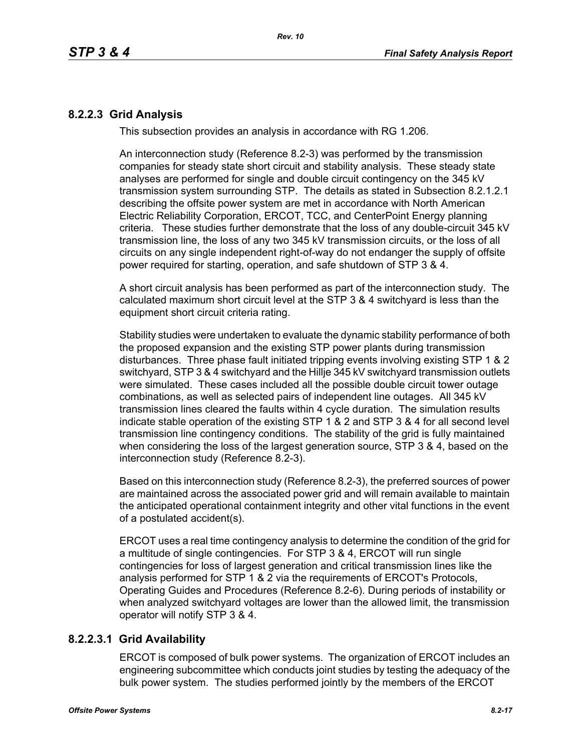## **8.2.2.3 Grid Analysis**

This subsection provides an analysis in accordance with RG 1.206.

An interconnection study (Reference 8.2-3) was performed by the transmission companies for steady state short circuit and stability analysis. These steady state analyses are performed for single and double circuit contingency on the 345 kV transmission system surrounding STP. The details as stated in Subsection 8.2.1.2.1 describing the offsite power system are met in accordance with North American Electric Reliability Corporation, ERCOT, TCC, and CenterPoint Energy planning criteria. These studies further demonstrate that the loss of any double-circuit 345 kV transmission line, the loss of any two 345 kV transmission circuits, or the loss of all circuits on any single independent right-of-way do not endanger the supply of offsite power required for starting, operation, and safe shutdown of STP 3 & 4.

A short circuit analysis has been performed as part of the interconnection study. The calculated maximum short circuit level at the STP 3 & 4 switchyard is less than the equipment short circuit criteria rating.

Stability studies were undertaken to evaluate the dynamic stability performance of both the proposed expansion and the existing STP power plants during transmission disturbances. Three phase fault initiated tripping events involving existing STP 1 & 2 switchyard, STP 3 & 4 switchyard and the Hillje 345 kV switchyard transmission outlets were simulated. These cases included all the possible double circuit tower outage combinations, as well as selected pairs of independent line outages. All 345 kV transmission lines cleared the faults within 4 cycle duration. The simulation results indicate stable operation of the existing STP 1 & 2 and STP 3 & 4 for all second level transmission line contingency conditions. The stability of the grid is fully maintained when considering the loss of the largest generation source, STP 3 & 4, based on the interconnection study (Reference 8.2-3).

Based on this interconnection study (Reference 8.2-3), the preferred sources of power are maintained across the associated power grid and will remain available to maintain the anticipated operational containment integrity and other vital functions in the event of a postulated accident(s).

ERCOT uses a real time contingency analysis to determine the condition of the grid for a multitude of single contingencies. For STP 3 & 4, ERCOT will run single contingencies for loss of largest generation and critical transmission lines like the analysis performed for STP 1 & 2 via the requirements of ERCOT's Protocols, Operating Guides and Procedures (Reference 8.2-6). During periods of instability or when analyzed switchyard voltages are lower than the allowed limit, the transmission operator will notify STP 3 & 4.

## **8.2.2.3.1 Grid Availability**

ERCOT is composed of bulk power systems. The organization of ERCOT includes an engineering subcommittee which conducts joint studies by testing the adequacy of the bulk power system. The studies performed jointly by the members of the ERCOT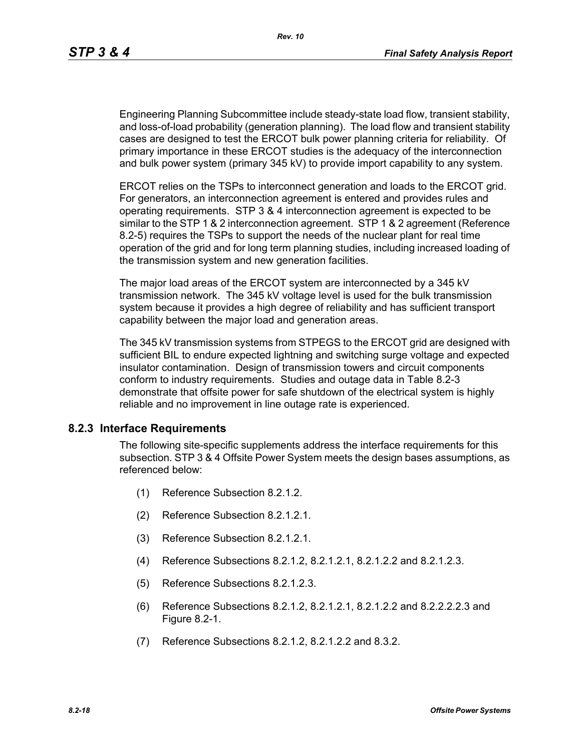Engineering Planning Subcommittee include steady-state load flow, transient stability, and loss-of-load probability (generation planning). The load flow and transient stability cases are designed to test the ERCOT bulk power planning criteria for reliability. Of primary importance in these ERCOT studies is the adequacy of the interconnection and bulk power system (primary 345 kV) to provide import capability to any system.

ERCOT relies on the TSPs to interconnect generation and loads to the ERCOT grid. For generators, an interconnection agreement is entered and provides rules and operating requirements. STP 3 & 4 interconnection agreement is expected to be similar to the STP 1 & 2 interconnection agreement. STP 1 & 2 agreement (Reference 8.2-5) requires the TSPs to support the needs of the nuclear plant for real time operation of the grid and for long term planning studies, including increased loading of the transmission system and new generation facilities.

The major load areas of the ERCOT system are interconnected by a 345 kV transmission network. The 345 kV voltage level is used for the bulk transmission system because it provides a high degree of reliability and has sufficient transport capability between the major load and generation areas.

The 345 kV transmission systems from STPEGS to the ERCOT grid are designed with sufficient BIL to endure expected lightning and switching surge voltage and expected insulator contamination. Design of transmission towers and circuit components conform to industry requirements. Studies and outage data in Table 8.2-3 demonstrate that offsite power for safe shutdown of the electrical system is highly reliable and no improvement in line outage rate is experienced.

### **8.2.3 Interface Requirements**

The following site-specific supplements address the interface requirements for this subsection. STP 3 & 4 Offsite Power System meets the design bases assumptions, as referenced below:

- (1) Reference Subsection 8.2.1.2.
- (2) Reference Subsection 8.2.1.2.1.
- (3) Reference Subsection 8.2.1.2.1.
- (4) Reference Subsections 8.2.1.2, 8.2.1.2.1, 8.2.1.2.2 and 8.2.1.2.3.
- (5) Reference Subsections 8.2.1.2.3.
- (6) Reference Subsections 8.2.1.2, 8.2.1.2.1, 8.2.1.2.2 and 8.2.2.2.2.3 and Figure 8.2-1.
- (7) Reference Subsections 8.2.1.2, 8.2.1.2.2 and 8.3.2.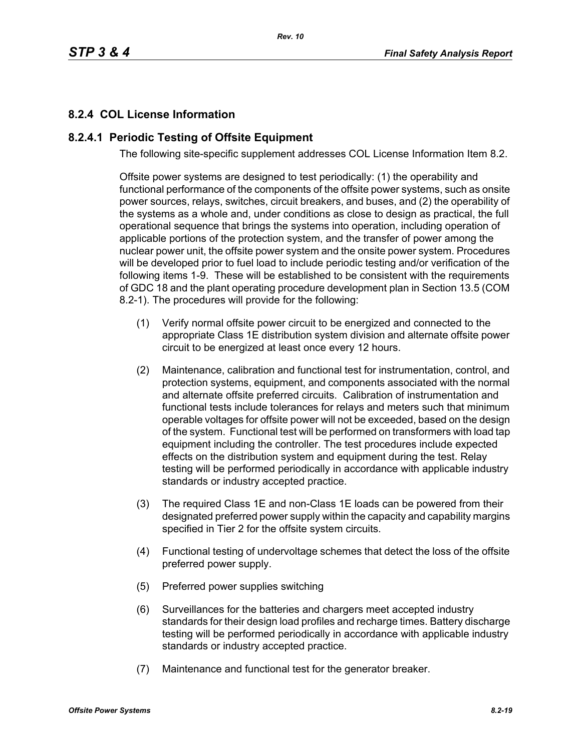# **8.2.4 COL License Information**

### **8.2.4.1 Periodic Testing of Offsite Equipment**

The following site-specific supplement addresses COL License Information Item 8.2.

Offsite power systems are designed to test periodically: (1) the operability and functional performance of the components of the offsite power systems, such as onsite power sources, relays, switches, circuit breakers, and buses, and (2) the operability of the systems as a whole and, under conditions as close to design as practical, the full operational sequence that brings the systems into operation, including operation of applicable portions of the protection system, and the transfer of power among the nuclear power unit, the offsite power system and the onsite power system. Procedures will be developed prior to fuel load to include periodic testing and/or verification of the following items 1-9. These will be established to be consistent with the requirements of GDC 18 and the plant operating procedure development plan in Section 13.5 (COM 8.2-1). The procedures will provide for the following:

- (1) Verify normal offsite power circuit to be energized and connected to the appropriate Class 1E distribution system division and alternate offsite power circuit to be energized at least once every 12 hours.
- (2) Maintenance, calibration and functional test for instrumentation, control, and protection systems, equipment, and components associated with the normal and alternate offsite preferred circuits. Calibration of instrumentation and functional tests include tolerances for relays and meters such that minimum operable voltages for offsite power will not be exceeded, based on the design of the system. Functional test will be performed on transformers with load tap equipment including the controller. The test procedures include expected effects on the distribution system and equipment during the test. Relay testing will be performed periodically in accordance with applicable industry standards or industry accepted practice.
- (3) The required Class 1E and non-Class 1E loads can be powered from their designated preferred power supply within the capacity and capability margins specified in Tier 2 for the offsite system circuits.
- (4) Functional testing of undervoltage schemes that detect the loss of the offsite preferred power supply.
- (5) Preferred power supplies switching
- (6) Surveillances for the batteries and chargers meet accepted industry standards for their design load profiles and recharge times. Battery discharge testing will be performed periodically in accordance with applicable industry standards or industry accepted practice.
- (7) Maintenance and functional test for the generator breaker.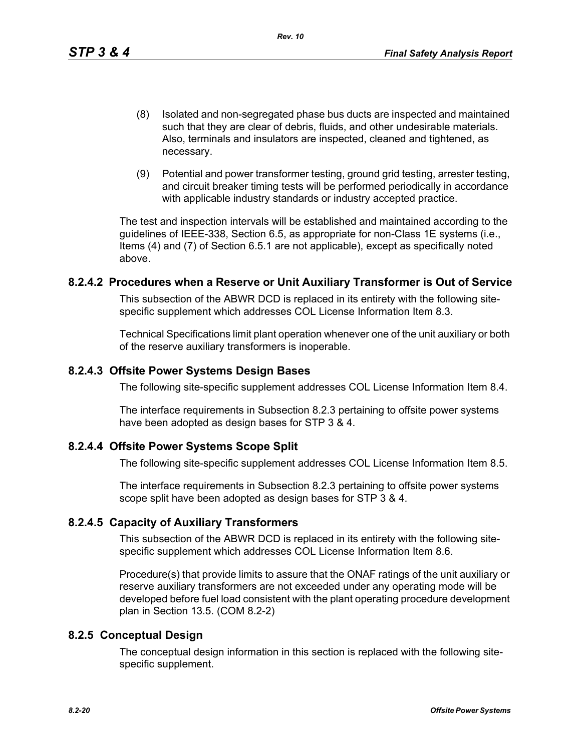- (8) Isolated and non-segregated phase bus ducts are inspected and maintained such that they are clear of debris, fluids, and other undesirable materials. Also, terminals and insulators are inspected, cleaned and tightened, as necessary.
- (9) Potential and power transformer testing, ground grid testing, arrester testing, and circuit breaker timing tests will be performed periodically in accordance with applicable industry standards or industry accepted practice.

The test and inspection intervals will be established and maintained according to the guidelines of IEEE-338, Section 6.5, as appropriate for non-Class 1E systems (i.e., Items (4) and (7) of Section 6.5.1 are not applicable), except as specifically noted above.

#### **8.2.4.2 Procedures when a Reserve or Unit Auxiliary Transformer is Out of Service**

This subsection of the ABWR DCD is replaced in its entirety with the following sitespecific supplement which addresses COL License Information Item 8.3.

Technical Specifications limit plant operation whenever one of the unit auxiliary or both of the reserve auxiliary transformers is inoperable.

### **8.2.4.3 Offsite Power Systems Design Bases**

The following site-specific supplement addresses COL License Information Item 8.4.

The interface requirements in Subsection 8.2.3 pertaining to offsite power systems have been adopted as design bases for STP 3 & 4.

### **8.2.4.4 Offsite Power Systems Scope Split**

The following site-specific supplement addresses COL License Information Item 8.5.

The interface requirements in Subsection 8.2.3 pertaining to offsite power systems scope split have been adopted as design bases for STP 3 & 4.

### **8.2.4.5 Capacity of Auxiliary Transformers**

This subsection of the ABWR DCD is replaced in its entirety with the following sitespecific supplement which addresses COL License Information Item 8.6.

Procedure(s) that provide limits to assure that the **ONAF** ratings of the unit auxiliary or reserve auxiliary transformers are not exceeded under any operating mode will be developed before fuel load consistent with the plant operating procedure development plan in Section 13.5. (COM 8.2-2)

### **8.2.5 Conceptual Design**

The conceptual design information in this section is replaced with the following sitespecific supplement.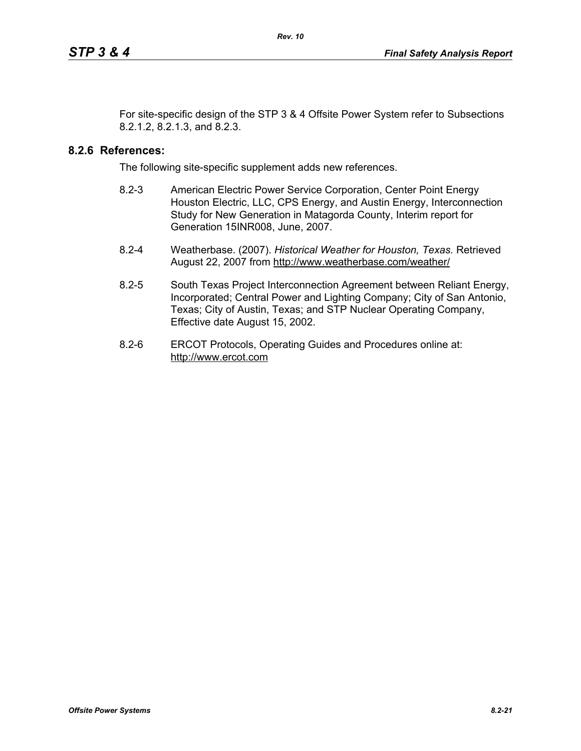For site-specific design of the STP 3 & 4 Offsite Power System refer to Subsections 8.2.1.2, 8.2.1.3, and 8.2.3.

### **8.2.6 References:**

The following site-specific supplement adds new references.

- 8.2-3 American Electric Power Service Corporation, Center Point Energy Houston Electric, LLC, CPS Energy, and Austin Energy, Interconnection Study for New Generation in Matagorda County, Interim report for Generation 15INR008, June, 2007.
- 8.2-4 Weatherbase. (2007). *Historical Weather for Houston, Texas.* Retrieved August 22, 2007 from http://www.weatherbase.com/weather/
- 8.2-5 South Texas Project Interconnection Agreement between Reliant Energy, Incorporated; Central Power and Lighting Company; City of San Antonio, Texas; City of Austin, Texas; and STP Nuclear Operating Company, Effective date August 15, 2002.
- 8.2-6 ERCOT Protocols, Operating Guides and Procedures online at: http://www.ercot.com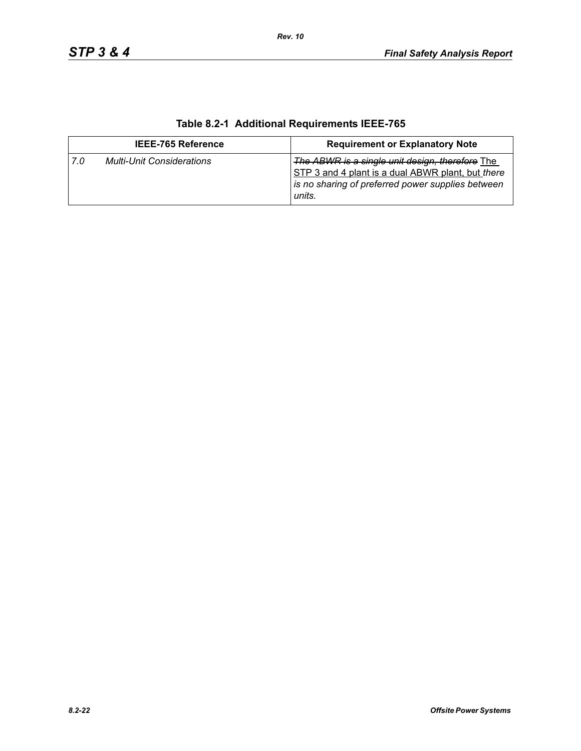| <b>IEEE-765 Reference</b> |                                  | <b>Requirement or Explanatory Note</b>                                                                                                                              |  |
|---------------------------|----------------------------------|---------------------------------------------------------------------------------------------------------------------------------------------------------------------|--|
| 7.0                       | <b>Multi-Unit Considerations</b> | The ABWR is a single unit design, therefore The<br>STP 3 and 4 plant is a dual ABWR plant, but there<br>is no sharing of preferred power supplies between<br>units. |  |

# **Table 8.2-1 Additional Requirements IEEE-765**

*Rev. 10*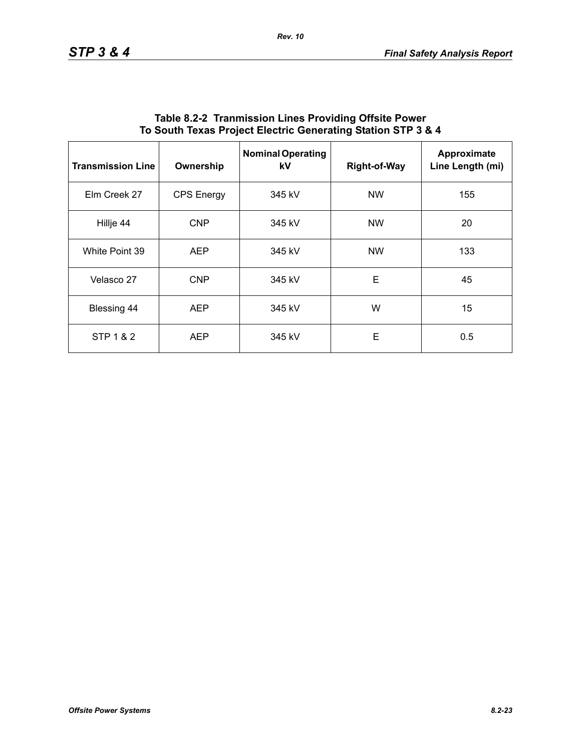| <b>Transmission Line</b> | Ownership         | <b>Nominal Operating</b><br>kV | <b>Right-of-Way</b> | Approximate<br>Line Length (mi) |
|--------------------------|-------------------|--------------------------------|---------------------|---------------------------------|
| Elm Creek 27             | <b>CPS Energy</b> | 345 kV                         | <b>NW</b>           | 155                             |
| Hillje 44                | <b>CNP</b>        | 345 kV                         | <b>NW</b>           | 20                              |
| White Point 39           | <b>AEP</b>        | 345 kV                         | <b>NW</b>           | 133                             |
| Velasco 27               | <b>CNP</b>        | 345 kV                         | E                   | 45                              |
| Blessing 44              | <b>AEP</b>        | 345 kV                         | W                   | 15                              |
| STP 1 & 2                | <b>AEP</b>        | 345 kV                         | E                   | 0.5                             |

### **Table 8.2-2 Tranmission Lines Providing Offsite Power To South Texas Project Electric Generating Station STP 3 & 4**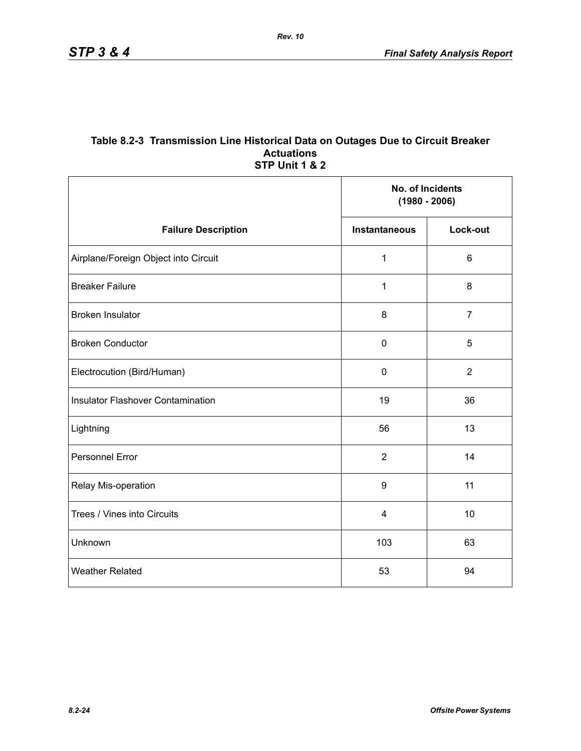#### **Table 8.2-3 Transmission Line Historical Data on Outages Due to Circuit Breaker Actuations STP Unit 1 & 2**

|                                          |                         | No. of Incidents<br>$(1980 - 2006)$ |  |
|------------------------------------------|-------------------------|-------------------------------------|--|
| <b>Failure Description</b>               | <b>Instantaneous</b>    | Lock-out                            |  |
| Airplane/Foreign Object into Circuit     | $\mathbf{1}$            | $6\phantom{1}$                      |  |
| <b>Breaker Failure</b>                   | 1                       | 8                                   |  |
| <b>Broken Insulator</b>                  | 8                       | $\overline{7}$                      |  |
| <b>Broken Conductor</b>                  | $\mathbf 0$             | 5                                   |  |
| Electrocution (Bird/Human)               | $\pmb{0}$               | $\overline{2}$                      |  |
| <b>Insulator Flashover Contamination</b> | 19                      | 36                                  |  |
| Lightning                                | 56                      | 13                                  |  |
| Personnel Error                          | $\overline{2}$          | 14                                  |  |
| Relay Mis-operation                      | $\boldsymbol{9}$        | 11                                  |  |
| Trees / Vines into Circuits              | $\overline{\mathbf{4}}$ | 10                                  |  |
| Unknown                                  | 103                     | 63                                  |  |
| <b>Weather Related</b>                   | 53                      | 94                                  |  |